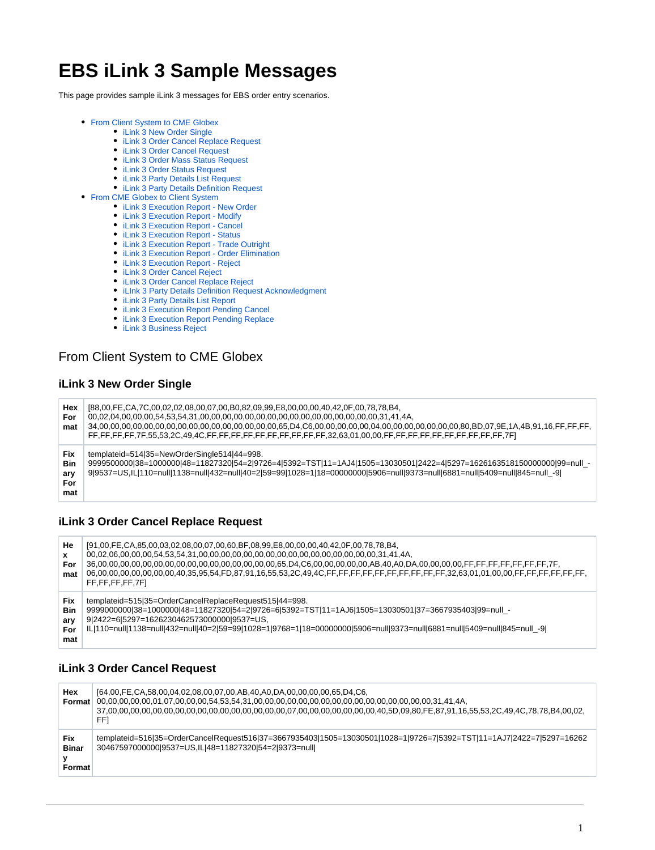# **EBS iLink 3 Sample Messages**

This page provides sample iLink 3 messages for EBS order entry scenarios.

- [From Client System to CME Globex](#page-0-0)
	- [iLink 3 New Order Single](#page-0-1)
	- [iLink 3 Order Cancel Replace Request](#page-0-2) [iLink 3 Order Cancel Request](#page-0-3)
	- [iLink 3 Order Mass Status Request](#page-0-4)
	- [iLink 3 Order Status Request](#page-1-0)
	- [iLink 3 Party Details List Request](#page-1-1)
	- [iLink 3 Party Details Definition Request](#page-1-2)
- [From CME Globex to Client System](#page-1-3)
	- [iLink 3 Execution Report New Order](#page-1-4)
	- [iLink 3 Execution Report Modify](#page-2-0)
	- [iLink 3 Execution Report Cancel](#page-2-1)
	- [iLink 3 Execution Report Status](#page-2-2)
	- [iLink 3 Execution Report Trade Outright](#page-3-0)
	- [iLink 3 Execution Report Order Elimination](#page-3-1)
	- [iLink 3 Execution Report Reject](#page-4-0)
	- [iLink 3 Order Cancel Reject](#page-4-1)
	- [iLink 3 Order Cancel Replace Reject](#page-4-2)
	- [iLInk 3 Party Details Definition Request Acknowledgment](#page-5-0)
	- [iLink 3 Party Details List Report](#page-5-1)
	- [iLink 3 Execution Report Pending Cancel](#page-5-2)
	- [iLink 3 Execution Report Pending Replace](#page-6-0)
	- [iLink 3 Business Reject](#page-6-1)

# <span id="page-0-0"></span>From Client System to CME Globex

#### <span id="page-0-1"></span>**iLink 3 New Order Single**

| Hex<br>For<br>mat                      | [88,00,FE,CA,7C,00,02,02,08,00,07,00,B0,82,09,99,E8,00,00,00,40,42,0F,00,78,78,B4,                                                                                                                                                                                                                |
|----------------------------------------|---------------------------------------------------------------------------------------------------------------------------------------------------------------------------------------------------------------------------------------------------------------------------------------------------|
| Fix<br><b>Bin</b><br>ary<br>For<br>mat | templateid=514 35=NewOrderSingle514 44=998.<br>9999500000 38=1000000 48=11827320 54=2 9726=4 5392=TST 11=1AJ4 1505=13030501 2422=4 5297=1626163518150000000 99=null_-<br>99537=US,IL 110=null 1138=null 432=null 40=2 59=99 1028=1 18=0000000 5906=null 9373=null 6881=null 5409=null 845=null_-9 |

#### <span id="page-0-2"></span>**iLink 3 Order Cancel Replace Request**

| He<br>x<br>For<br>mat                         | [91,00,FE,CA,85,00,03,02,08,00,07,00,60,BF,08,99,E8,00,00,00,40,42,0F,00,78,78,B4,<br>FF,FF,FF,FF,7FI                                                                                                                                                                                                                                   |
|-----------------------------------------------|-----------------------------------------------------------------------------------------------------------------------------------------------------------------------------------------------------------------------------------------------------------------------------------------------------------------------------------------|
| <b>Fix</b><br><b>Bin</b><br>ary<br>For<br>mat | templateid=515 35=OrderCancelReplaceRequest515 44=998.<br>9999000000 38=1000000 48=11827320 54=2 9726=6 5392=TST 11=1AJ6 1505=13030501 37=3667935403 99=null -<br>9 2422=6 5297=1626230462573000000 9537=US,<br>IL 110=null 1138=null 432=null 40=2 59=99 1028=1 9768=1 18=00000000 5906=null 9373=null 6881=null 5409=null 845=null -9 |

#### <span id="page-0-3"></span>**iLink 3 Order Cancel Request**

<span id="page-0-4"></span>

| Hex<br>Format                        | [64,00, FE, CA, 58,00,04,02,08,00,07,00, AB, 40, A0, DA, 00,00,00,00, 65, D4, C6,<br>FFI                                                                                      |
|--------------------------------------|-------------------------------------------------------------------------------------------------------------------------------------------------------------------------------|
| <b>Fix</b><br><b>Binar</b><br>Format | templateid=516 35=OrderCancelRequest516 37=3667935403 1505=13030501 1028=1 9726=7 5392=TST 11=1AJ7 2422=7 5297=16262<br>30467597000000l9537=US.ILI48=11827320l54=2l9373=nulll |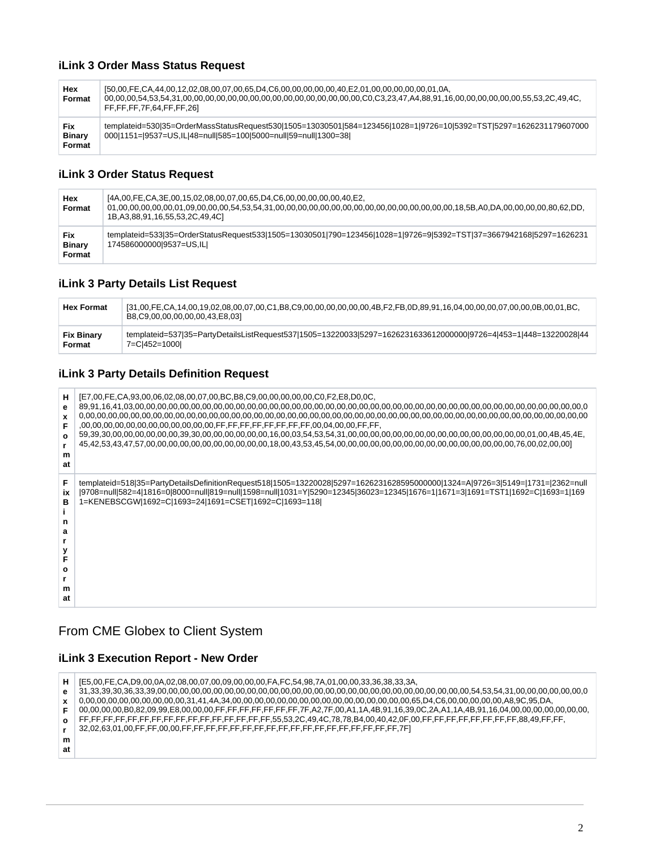### **iLink 3 Order Mass Status Request**

| Hex<br>Format                         | [50.00.FE.CA.44.00.12.02.08.00.07.00.65.D4.C6.00.00.00.00.00.40.E2.01.00.00.00.00.00.01.0A<br>FF,FF,FF,7F,64,FF,FF,261                                                                            |
|---------------------------------------|---------------------------------------------------------------------------------------------------------------------------------------------------------------------------------------------------|
| <b>Fix</b><br><b>Binary</b><br>Format | templateid=530 35=OrderMassStatusRequest530 1505=13030501 584=123456 1028=1 9726=10 5392=TST 5297=1626231179607000<br>000 1151= 0537 = US, IL 48 = null 585 = 100 5000 = null 59 = null 1300 = 38 |

#### <span id="page-1-0"></span>**iLink 3 Order Status Request**

| Hex<br>Format                  | [4A,00,FE,CA,3E,00,15,02,08,00,07,00,65,D4,C6,00,00,00,00,00,00,40,E2,<br>1B, A3, 88, 91, 16, 55, 53, 2C, 49, 4C                               |
|--------------------------------|------------------------------------------------------------------------------------------------------------------------------------------------|
| Fix<br><b>Binary</b><br>Format | templateid=533 35=OrderStatusRequest533 1505=13030501 790=123456 1028=1 9726=9 5392=TST 37=3667942168 5297=1626231<br>174586000000l9537=US,ILI |

#### <span id="page-1-1"></span>**iLink 3 Party Details List Request**

| <b>Hex Format</b> | B8,C9,00,00,00,00,00,43,E8,03]                                                                                   |
|-------------------|------------------------------------------------------------------------------------------------------------------|
| <b>Fix Binary</b> | templateid=537 35=PartyDetailsListRequest537 1505=13220033 5297=1626231633612000000 9726=4 453=1 448=13220028 44 |
| Format            | 7=Cl452=1000l                                                                                                    |

### <span id="page-1-2"></span>**iLink 3 Party Details Definition Request**

| н<br>Ω<br>m<br>at       | [E7,00,FE,CA,93,00,06,02,08,00,07,00,BC,B8,C9,00,00,00,00,00,C0,F2,E8,D0,0C,                                                                                                                                                                                                                                         |
|-------------------------|----------------------------------------------------------------------------------------------------------------------------------------------------------------------------------------------------------------------------------------------------------------------------------------------------------------------|
| ix<br>в<br>Ω<br>m<br>at | templateid=518 35=PartyDetailsDefinitionRequest518 1505=13220028 5297=1626231628595000000 1324=A 9726=3 5149= 1731= 2362=null<br>9708=null 582=4 1816=0 8000=null 819=null 1598=null 1031=Y 5290=12345 36023=12345 1676=1 1671=3 1691=TST1 1692=C 1693=1 169<br>1=KENEBSCGW 1692=C 1693=24 1691=CSET 1692=C 1693=118 |

# <span id="page-1-3"></span>From CME Globex to Client System

### <span id="page-1-4"></span>**iLink 3 Execution Report - New Order**

| н. | [E5,00,FE,CA,D9,00,0A,02,08,00,07,00,09,00,00,00,FA,FC,54,98,7A,01,00,00,33,36,38,33,3A, |
|----|------------------------------------------------------------------------------------------|
| е  |                                                                                          |
|    |                                                                                          |
|    |                                                                                          |
| O  |                                                                                          |
|    |                                                                                          |
| m  |                                                                                          |
| at |                                                                                          |
|    |                                                                                          |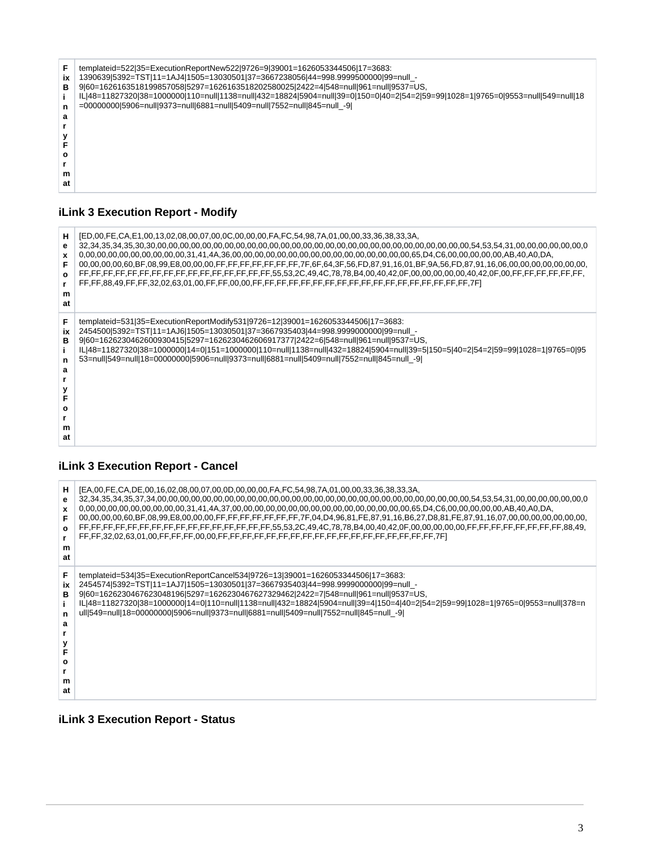

#### <span id="page-2-0"></span>**iLink 3 Execution Report - Modify**

| н                                       | [ED,00,FE,CA,E1,00,13,02,08,00,07,00,0C,00,00,00,FA,FC,54,98,7A,01,00,00,33,36,38,33,3A,                                                                                                                                                                                                                                                                                                                                                                                                 |
|-----------------------------------------|------------------------------------------------------------------------------------------------------------------------------------------------------------------------------------------------------------------------------------------------------------------------------------------------------------------------------------------------------------------------------------------------------------------------------------------------------------------------------------------|
| е                                       |                                                                                                                                                                                                                                                                                                                                                                                                                                                                                          |
| x                                       |                                                                                                                                                                                                                                                                                                                                                                                                                                                                                          |
| O                                       |                                                                                                                                                                                                                                                                                                                                                                                                                                                                                          |
| m                                       |                                                                                                                                                                                                                                                                                                                                                                                                                                                                                          |
| at                                      |                                                                                                                                                                                                                                                                                                                                                                                                                                                                                          |
| F<br>ix<br>R.<br>n<br>a<br>Ω<br>m<br>at | templateid=531 35=ExecutionReportModify531 9726=12 39001=1626053344506 17=3683:<br>2454500 5392=TST 11=1AJ6 1505=13030501 37=3667935403 44=998.999900000 99=null -<br>9 60=1626230462600930415 5297=1626230462606917377 2422=6 548=null 961=null 9537=US,<br>IL 48=11827320 38=1000000 14=0 151=1000000 110=null 1138=null 432=18824 5904=null 39=5 150=5 40=2 54=2 59=99 1028=1 9765=0 95<br>53=null 549=null 18=00000000 5906=null 9373=null 6881=null 5409=null 7552=null 845=null_-9 |

#### <span id="page-2-1"></span>**iLink 3 Execution Report - Cancel**

| н                                      | [EA.00,FE,CA,DE,00,16,02,08,00,07,00,0D,00,00,00,FA,FC,54,98,7A,01,00,00,33,36,38,33,3A,                                                                                                                                                                                                                                                                                                                                                                                              |
|----------------------------------------|---------------------------------------------------------------------------------------------------------------------------------------------------------------------------------------------------------------------------------------------------------------------------------------------------------------------------------------------------------------------------------------------------------------------------------------------------------------------------------------|
| е                                      |                                                                                                                                                                                                                                                                                                                                                                                                                                                                                       |
| x                                      |                                                                                                                                                                                                                                                                                                                                                                                                                                                                                       |
| O                                      |                                                                                                                                                                                                                                                                                                                                                                                                                                                                                       |
| m                                      |                                                                                                                                                                                                                                                                                                                                                                                                                                                                                       |
| at                                     |                                                                                                                                                                                                                                                                                                                                                                                                                                                                                       |
| F<br>ix<br>в<br>n<br>a<br>o<br>m<br>at | templateid=534 35=ExecutionReportCancel534 9726=13 39001=1626053344506 17=3683:<br>2454574 5392=TST 11=1AJ7 1505=13030501 37=3667935403 44=998.999900000 99=null_-<br>9 60=1626230467623048196 5297=1626230467627329462 2422=7 548=null 961=null 9537=US,<br>IL 48=11827320 38=1000000 14=0 110=null 1138=null 432=18824 5904=null 39=4 150=4 40=2 54=2 59=99 1028=1 9765=0 9553=null 378=n<br>ull 549=null 18=00000000 5906=null 9373=null 6881=null 5409=null 7552=null 845=null_-9 |

#### <span id="page-2-2"></span>**iLink 3 Execution Report - Status**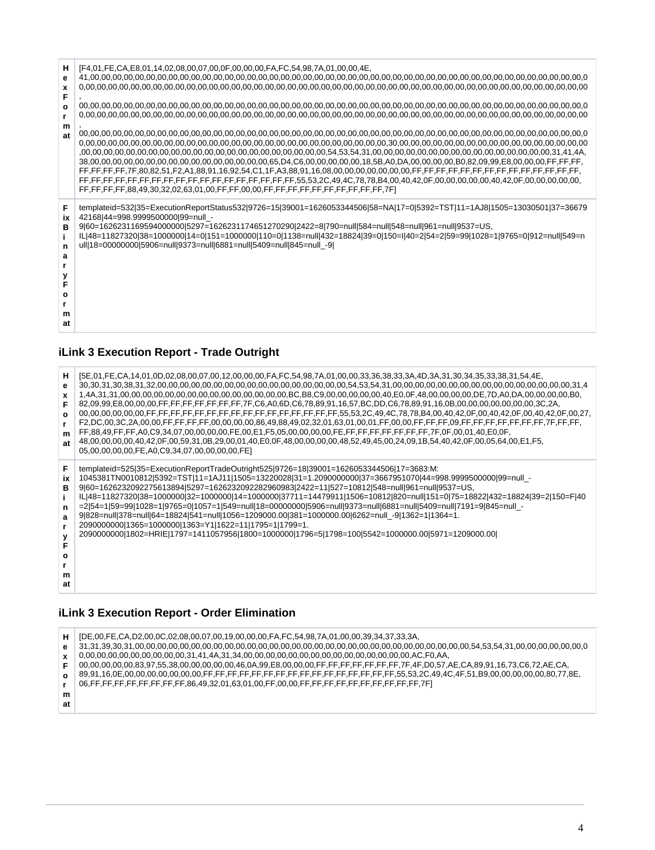| н<br>е<br>x<br>F<br>O<br>m<br>at            | [F4,01,FE,CA,E8,01,14,02,08,00,07,00,0F,00,00,00,FA,FC,54,98,7A,01,00,00,4E,                                                                                                                                                                                                                                                                                                                                                                                                   |
|---------------------------------------------|--------------------------------------------------------------------------------------------------------------------------------------------------------------------------------------------------------------------------------------------------------------------------------------------------------------------------------------------------------------------------------------------------------------------------------------------------------------------------------|
| F<br>ix<br>в<br>n<br>a<br>F<br>o<br>m<br>at | templateid=532 35=ExecutionReportStatus532 9726=15 39001=1626053344506 58=NA 17=0 5392=TST 11=1AJ8 1505=13030501 37=36679<br>42168 44=998.9999500000 99=null -<br>9 60=1626231169594000000 5297=1626231174651270290 2422=8 790=null 584=null 548=null 961=null 9537=US,<br>IL 48=11827320 38=1000000 14=0 151=1000000 110=0 1138=null 432=18824 39=0 150=I 40=2 54=2 59=99 1028=1 9765=0 912=null 549=n<br>ull 18=00000000 5906=null 9373=null 6881=null 5409=null 845=null -9 |

#### <span id="page-3-0"></span>**iLink 3 Execution Report - Trade Outright**

| н<br>е<br>$\mathbf{x}$<br>$\Omega$<br>m<br>at | .44.533,38,31,54,461,01,02,08,00,07,00,12,00,00,00,FA,FC,54,98,7A,01,00,00,33,36,38,33,3A,4D,3A,31,30,34,35,33,38,31,54,4E<br>.82.09.99.E8.00.00.00.FF.FF.FF.FF.FF.FF.FF.FF.7F.C6.A0.6D.C6.78.89.91.16.57.BC.DD.C6.78.89.91.16.0B.00.00.00.00.00.00.00.00.3C.2A<br>FF,88,49,FF,FF,A0,C9,34,07,00,00,00,00,FE,00,E1,F5,05,00,00,00,00,FE,FF,FF,FF,FF,FF,FF,TF,0F,00,01,40,E0,0F,<br>.48,00,00,00,00,40,42,0F,00,59,31,0B,29,00,01,40,E0,0F,48,00,00,00,00,48,52,49,45,00,24,09,1B,54,40,42,0F,00,05,64,00,E1,F5,<br>05,00,00,00,00,FE,A0,C9,34,07,00,00,00,00,FE] |
|-----------------------------------------------|------------------------------------------------------------------------------------------------------------------------------------------------------------------------------------------------------------------------------------------------------------------------------------------------------------------------------------------------------------------------------------------------------------------------------------------------------------------------------------------------------------------------------------------------------------------|
| ix                                            | templateid=525 35=ExecutionReportTradeOutright525 9726=18 39001=1626053344506 17=3683:M:                                                                                                                                                                                                                                                                                                                                                                                                                                                                         |
| в                                             | 1045381TN0010812 5392=TST 11=1AJ11 1505=13220028 31=1.2090000000 37=3667951070 44=998.9999500000 99=null_-                                                                                                                                                                                                                                                                                                                                                                                                                                                       |
| n                                             | 960=1626232092275613894 5297=1626232092282960983 2422=11 527=10812 548=null 961=null 9537=US,                                                                                                                                                                                                                                                                                                                                                                                                                                                                    |
| a                                             | IL 48=11827320 38=1000000 32=1000000 14=1000000 37711=14479911 1506=10812 820=null 151=0 75=18822 432=18824 39=2 150=F 40                                                                                                                                                                                                                                                                                                                                                                                                                                        |
| v                                             | =2 54=1 59=99 1028=1 9765=0 1057=1 549=null 18=00000000 5906=null 9373=null 6881=null 5409=null 7191=9 845=null_-                                                                                                                                                                                                                                                                                                                                                                                                                                                |
| o                                             | 9 828=null 378=null 64=18824 541=null 1056=1209000.00 381=1000000.00 6262=null -9 1362=1 1364=1.                                                                                                                                                                                                                                                                                                                                                                                                                                                                 |
| m                                             | 2090000000 1365=1000000 1363=Y1 1622=11 1795=1 1799=1.                                                                                                                                                                                                                                                                                                                                                                                                                                                                                                           |
| at                                            | 2090000000 1802=HRIE 1797=1411057956 1800=1000000 1796=5 1798=100 5542=1000000.00 5971=1209000.00                                                                                                                                                                                                                                                                                                                                                                                                                                                                |

#### **iLink 3 Execution Report - Order Elimination**

<span id="page-3-1"></span>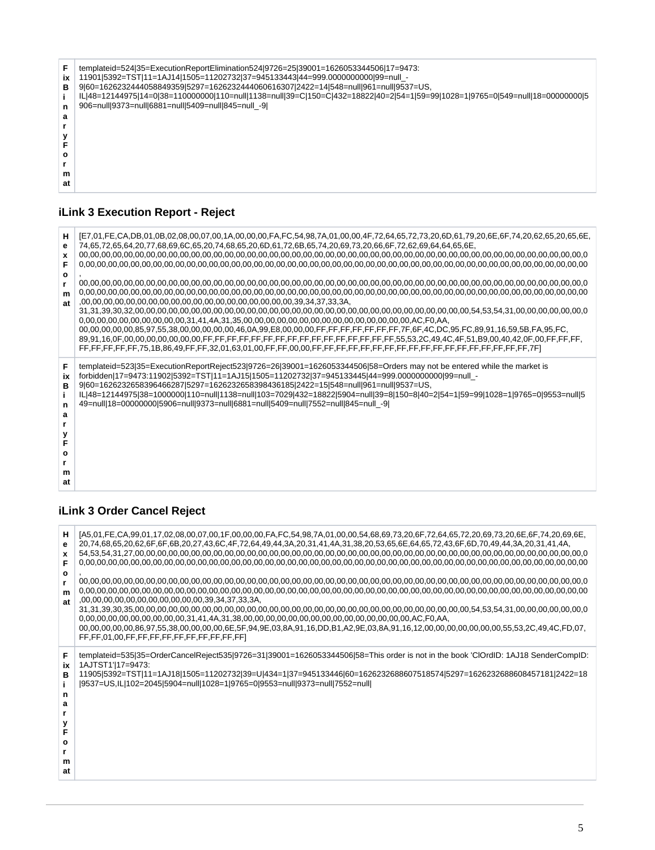| ix<br>в<br>n | templateid=524 35=ExecutionReportElimination524 9726=25 39001=1626053344506 17=9473:<br>11901 5392=TST 11=1AJ14 1505=11202732 37=945133443 44=999.000000000 99=null -<br>9 60=1626232444058849359 5297=1626232444060616307 2422=14 548=null 961=null 9537=US,<br>IL 48=12144975 14=0 38=110000000 110=null 1138=null 39=C 150=C 432=18822 40=2 54=1 59=99 1028=1 9765=0 549=null 18=00000000 5<br>906=null 9373=null 6881=null 5409=null 845=null -9 |
|--------------|------------------------------------------------------------------------------------------------------------------------------------------------------------------------------------------------------------------------------------------------------------------------------------------------------------------------------------------------------------------------------------------------------------------------------------------------------|
| а            |                                                                                                                                                                                                                                                                                                                                                                                                                                                      |
|              |                                                                                                                                                                                                                                                                                                                                                                                                                                                      |
|              |                                                                                                                                                                                                                                                                                                                                                                                                                                                      |
|              |                                                                                                                                                                                                                                                                                                                                                                                                                                                      |
| Ω            |                                                                                                                                                                                                                                                                                                                                                                                                                                                      |
|              |                                                                                                                                                                                                                                                                                                                                                                                                                                                      |
| m            |                                                                                                                                                                                                                                                                                                                                                                                                                                                      |
| at           |                                                                                                                                                                                                                                                                                                                                                                                                                                                      |
|              |                                                                                                                                                                                                                                                                                                                                                                                                                                                      |

# <span id="page-4-0"></span>**iLink 3 Execution Report - Reject**

| н<br>e<br>x<br>F<br>$\mathbf{o}$<br>r.<br>m<br>at | [E7,01,FE,CA,DB,01,0B,02,08,00,07,00,1A,00,00,00,FA,FC,54,98,7A,01,00,00,4F,72,64,65,72,73,20,6D,61,79,20,6E,6F,74,20,62,65,20,65,6E,<br>74,65,72,65,64,20,77,68,69,6C,65,20,74,68,65,20,6D,61,72,6B,65,74,20,69,73,20,66,6F,72,62,69,64,64,65,6E,<br>.00,00,00,00,00,85,97,55,38,00,00,00,00,00,46,0A,99,E8,00,00,00,FF,FF,FF,FF,FF,FF,FF,FF,4C,DC,95,FC,89,91,16,59,5B,FA,95,FC                                                                                                                                                          |
|---------------------------------------------------|--------------------------------------------------------------------------------------------------------------------------------------------------------------------------------------------------------------------------------------------------------------------------------------------------------------------------------------------------------------------------------------------------------------------------------------------------------------------------------------------------------------------------------------------|
| F<br>ix<br>в<br>n<br>a<br>O<br>m<br>at            | templateid=523 35=ExecutionReportReject523 9726=26 39001=1626053344506 58=Orders may not be entered while the market is<br>forbidden 17=9473:11902 5392=TST 11=1AJ15 1505=11202732 37=945133445 44=999.0000000000 99=null_-<br>9 60=1626232658396466287 5297=1626232658398436185 2422=15 548=null 961=null 9537=US,<br>IL 48=12144975 38=1000000 110=null 1138=null 103=7029 432=18822 5904=null 39=8 150=8 40=2 54=1 59=99 1028=1 9765=0 9553=null 5<br>49=null 18=00000000 5906=null 9373=null 6881=null 5409=null 7552=null 845=null -9 |

# <span id="page-4-1"></span>**iLink 3 Order Cancel Reject**

<span id="page-4-2"></span>

| н<br>е<br>x<br>F<br>o<br>m<br><b>at</b>     | [A5,01,FE,CA,99,01,17,02,08,00,07,00,1F,00,00,00,FA,FC,54,98,7A,01,00,00,54,68,69,73,20,6F,72,64,65,72,20,69,73,20,6E,6F,74,20,69,6E,<br>.20,74,68,65,20,62,6F,6F,6B,20,27,43,6C,4F,72,64,49,44,3A,20,31,41,4A,31,38,20,53,65,6E,64,65,72,43,6F,6D,70,49,44,3A,20,31,41,4A,<br>00,00,00,00,00,00,00,55,53,2C,49,4C,FD,07, 00,00,00,00,00,6E,5F,94,9E,03,8A,91,16,DD,B1,A2,9E,03,8A,91,16,12,00,00,00,00,00,00,00,00,00,00,55,53,2C,49,4C,FD,07,<br>FF,FF,01,00,FF,FF,FF,FF,FF,FF,FF,FF,FF,FF,FF |
|---------------------------------------------|-------------------------------------------------------------------------------------------------------------------------------------------------------------------------------------------------------------------------------------------------------------------------------------------------------------------------------------------------------------------------------------------------------------------------------------------------------------------------------------------------|
| F<br>ix<br>в<br>n<br>а<br>F<br>o<br>m<br>at | templateid=535 35=OrderCancelReject535 9726=31 39001=1626053344506 58=This order is not in the book 'ClOrdID: 1AJ18 SenderCompID:<br>1AJTST1' 17=9473:<br>11905 5392=TST 11=1AJ18 1505=11202732 39=U 434=1 37=945133446 60=1626232688607518574 5297=1626232688608457181 2422=18<br> 9537=US,IL 102=2045 5904=null 1028=1 9765=0 9553=null 9373=null 7552=null                                                                                                                                   |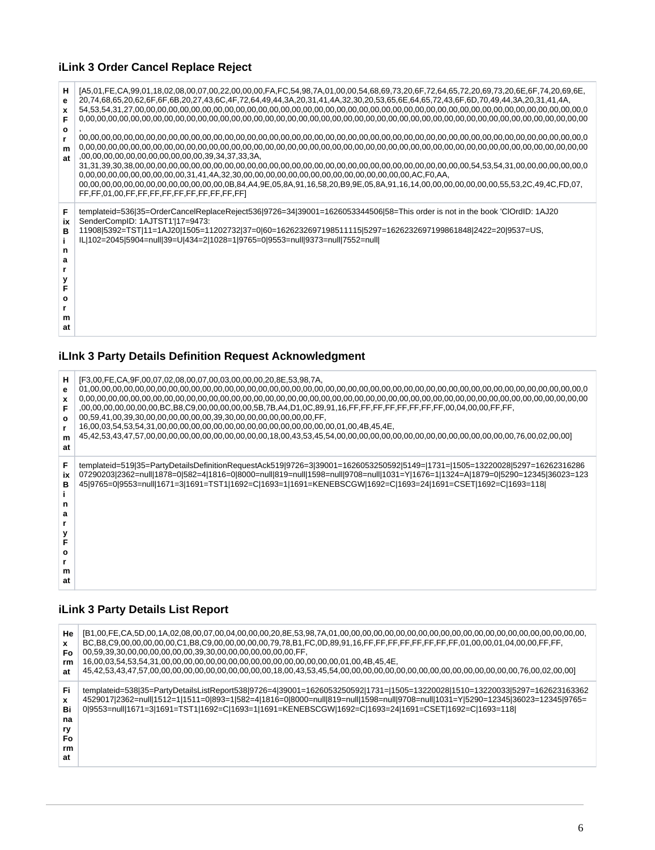# **iLink 3 Order Cancel Replace Reject**

| н<br>е<br>x<br>F<br>o<br>m<br>at            | [A5.01.FE.CA.99.01.18.02.08.00.07.00.22.00.00.00.FA.FC.54.98.7A.01.00.00.54.68.69.73.20.6F.72.64.65.72.20.69.73.20.6E.6F.74.20.69.6E.<br>.20,74,68,65,20,62,6F,6F,6B,20,27,43,6C,4F,72,64,49,44,3A,20,31,41,4A,32,30,20,53,65,6E,64,65,72,43,6F,6D,70,49,44,3A,20,31,41,4A,<br>FF,FF,01,00,FF,FF,FF,FF,FF,FF,FF,FF,FF,FF,FF                                  |
|---------------------------------------------|--------------------------------------------------------------------------------------------------------------------------------------------------------------------------------------------------------------------------------------------------------------------------------------------------------------------------------------------------------------|
| F<br>ix<br>в<br>n<br>a<br>F<br>ο<br>m<br>at | templateid=536 35=OrderCancelReplaceReject536 9726=34 39001=1626053344506 58=This order is not in the book 'ClOrdID: 1AJ20<br>SenderCompID: 1AJTST1' 17=9473:<br>11908 5392=TST 11=1AJ20 1505=11202732 37=0 60=1626232697198511115 5297=1626232697199861848 2422=20 9537=US,<br>IL 102=2045 5904=null 39=U 434=2 1028=1 9765=0 9553=null 9373=null 7552=null |

# <span id="page-5-0"></span>**iLInk 3 Party Details Definition Request Acknowledgment**

| н<br>e<br>x<br>F<br>O<br>m<br>at       | [F3,00, FE, CA, 9F, 00, 07, 02, 08, 00, 07, 00, 03, 00, 00, 00, 20, 8E, 53, 98, 7A,<br>,00,00,00,00,00,00,00,BC,B8,C9,00,00,00,00,00,00,5B,7B,A4,D1,0C,89,91,16,FF,FF,FF,FF,FF,FF,FF,FF,00,04,00,00,FF,FF,<br>00,59,41,00,39,30,00,00,00,00,00,00,39,30,00,00,00,00,00,00,00,FF,                                                                                            |
|----------------------------------------|-----------------------------------------------------------------------------------------------------------------------------------------------------------------------------------------------------------------------------------------------------------------------------------------------------------------------------------------------------------------------------|
| F<br>iх<br>в<br>n<br>а<br>Ω<br>m<br>at | templateid=519 35=PartyDetailsDefinitionRequestAck519 9726=3 39001=1626053250592 5149= 1731= 1505=13220028 5297=16262316286<br>07290203 2362=null 1878=0 582=4 1816=0 8000=null 819=null 1598=null 9708=null 1031=Y 1676=1 1324=A 1879=0 5290=12345 36023=123<br>45 9765=0 9553=null 1671=3 1691=TST1 1692=C 1693=1 1691=KENEBSCGW 1692=C 1693=24 1691=CSET 1692=C 1693=118 |

#### <span id="page-5-1"></span>**iLink 3 Party Details List Report**

<span id="page-5-2"></span>

| He<br>Fo<br>rm<br>at                   | BC,B8,C9,00,00,00,00,00,00,C1,B8,C9,00,00,00,00,00,79,78,B1,FC,0D,89,91,16,FF,FF,FF,FF,FF,FF,FF,FF,01.00.00.01.04.00.00,FF,FF,<br>00,59,39,30,00,00,00,00,00,00,39,30,00,00,00,00,00,00,00,FF,                                                                                                                                                                    |
|----------------------------------------|-------------------------------------------------------------------------------------------------------------------------------------------------------------------------------------------------------------------------------------------------------------------------------------------------------------------------------------------------------------------|
| Fi<br>Bi<br>na<br>ry<br>Fo<br>rm<br>at | templateid=538 35=PartyDetailsListReport538 9726=4 39001=1626053250592 1731= 1505=13220028 1510=13220033 5297=162623163362<br>4529017 2362=null 1512=1 1511=0 893=1 582=4 1816=0 8000=null 819=null 1598=null 9708=null 1031=Y 5290=12345 36023=12345 9765=<br>0 9553=null 1671=3 1691=TST1 1692=C 1693=1 1691=KENEBSCGW 1692=C 1693=24 1691=CSET 1692=C 1693=118 |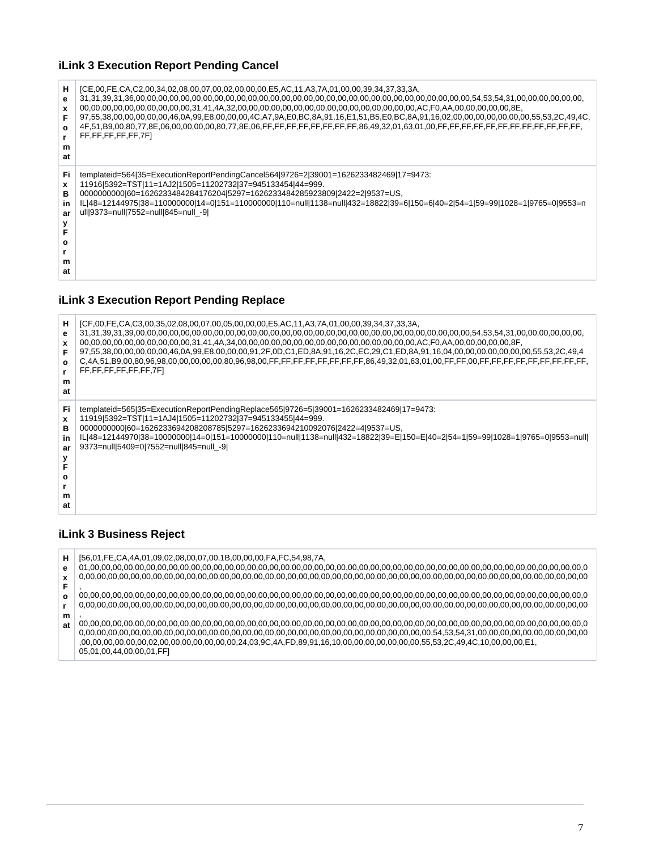## **iLink 3 Execution Report Pending Cancel**

| н<br>е<br>x<br>O<br>m<br>at               | [CE,00,FE,CA,C2,00,34,02,08,00,07,00,02,00,00,00,E5,AC,11,A3,7A,01,00,00,39,34,37,33,3A,<br>97,55,38,00,00,00,00,00,46,0A,99,E8,00,00,00,4C,A7,9A,E0,BC,8A,91,16,E1,51,B5,E0,BC,8A,91,16,02,00,00,00,00,00,00,00,00,55,53,2C,49,4C,<br>FF,FF,FF,FF,FF,7F1                                                                                                                                             |
|-------------------------------------------|-------------------------------------------------------------------------------------------------------------------------------------------------------------------------------------------------------------------------------------------------------------------------------------------------------------------------------------------------------------------------------------------------------|
| Fi.<br>x<br>в<br>in<br>ar<br>ο<br>m<br>at | templateid=564 35=ExecutionReportPendingCancel564 9726=2 39001=1626233482469 17=9473:<br>11916 5392=TST 11=1AJ2 1505=11202732 37=945133454 44=999.<br>000000000060=1626233484284176204 5297=1626233484285923809 2422=2 9537=US,<br>IL 48=12144975 38=110000000 14=0 151=110000000 110=null 1138=null 432=18822 39=6 150=6 40=2 54=1 59=99 1028=1 9765=0 9553=n<br>ull 9373=null 7552=null 845=null -9 |

# <span id="page-6-0"></span>**iLink 3 Execution Report Pending Replace**

| н<br>е<br>O<br>m<br>at              | [CF,00,FE,CA,C3,00,35,02,08,00,07,00,05,00,00,00,E5,AC,11,A3,7A,01,00,00,39,34,37,33,3A,<br>97,55,38,00,00,00,00,00,46,0A,99,E8,00,00,00,91,2F,0D,C1,ED,8A,91,16,2C,EC,29,C1,ED,8A,91,16,04,00,00,00,00,00,00,00,00,00,55,53,2C,49,4<br>FF,FF,FF,FF,FF,FF,7FI                                                                                                                                               |
|-------------------------------------|-------------------------------------------------------------------------------------------------------------------------------------------------------------------------------------------------------------------------------------------------------------------------------------------------------------------------------------------------------------------------------------------------------------|
| Fi<br>x<br>в<br>in<br>ar<br>m<br>at | templateid=565 35=ExecutionReportPendingReplace565 9726=5 39001=1626233482469 17=9473:<br>11919 5392=TST 11=1AJ4 1505=11202732 37=945133455 44=999.<br>000000000060=1626233694208208785 5297=1626233694210092076 2422=4 9537=US,<br>IL 48=12144970 38=10000000 14=0 151=10000000 110=null 1138=null 432=18822 39=E 150=E 40=2 54=1 59=99 1028=1 9765=0 9553=null <br>9373=null 5409=0 7552=null 845=null -9 |

# <span id="page-6-1"></span>**iLink 3 Business Reject**

| н  | [56,01,FE,CA,4A,01,09,02,08,00,07,00,1B,00,00,00,FA,FC,54,98,7A, |
|----|------------------------------------------------------------------|
| е  |                                                                  |
|    |                                                                  |
| F  |                                                                  |
| O  |                                                                  |
|    |                                                                  |
| m  |                                                                  |
| at |                                                                  |
|    |                                                                  |
|    |                                                                  |
|    | 05,01,00,44,00,00,01,FF]                                         |
|    |                                                                  |